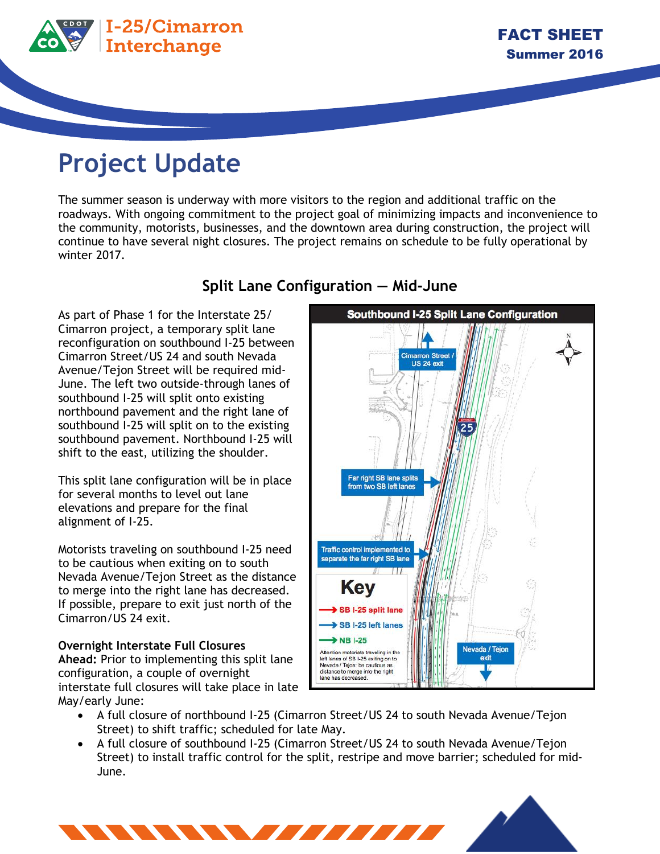

## **Project Update**

The summer season is underway with more visitors to the region and additional traffic on the roadways. With ongoing commitment to the project goal of minimizing impacts and inconvenience to the community, motorists, businesses, and the downtown area during construction, the project will continue to have several night closures. The project remains on schedule to be fully operational by winter 2017.

As part of Phase 1 for the Interstate 25/ Cimarron project, a temporary split lane reconfiguration on southbound I-25 between Cimarron Street/US 24 and south Nevada Avenue/Tejon Street will be required mid-June. The left two outside-through lanes of southbound I-25 will split onto existing northbound pavement and the right lane of southbound I-25 will split on to the existing southbound pavement. Northbound I-25 will shift to the east, utilizing the shoulder.

This split lane configuration will be in place for several months to level out lane elevations and prepare for the final alignment of I-25.

Motorists traveling on southbound I-25 need to be cautious when exiting on to south Nevada Avenue/Tejon Street as the distance to merge into the right lane has decreased. If possible, prepare to exit just north of the Cimarron/US 24 exit.

**Overnight Interstate Full Closures** 

**Ahead:** Prior to implementing this split lane configuration, a couple of overnight interstate full closures will take place in late May/early June:

**Cimarron Street US 24 exi** Far right SB lane splits from two SB left lanes



**Southbound I-25 Split Lane Configuration** 

- A full closure of northbound I-25 (Cimarron Street/US 24 to south Nevada Avenue/Tejon Street) to shift traffic; scheduled for late May.
- A full closure of southbound I-25 (Cimarron Street/US 24 to south Nevada Avenue/Tejon Street) to install traffic control for the split, restripe and move barrier; scheduled for mid-June.

## **Split Lane Configuration — Mid-June**